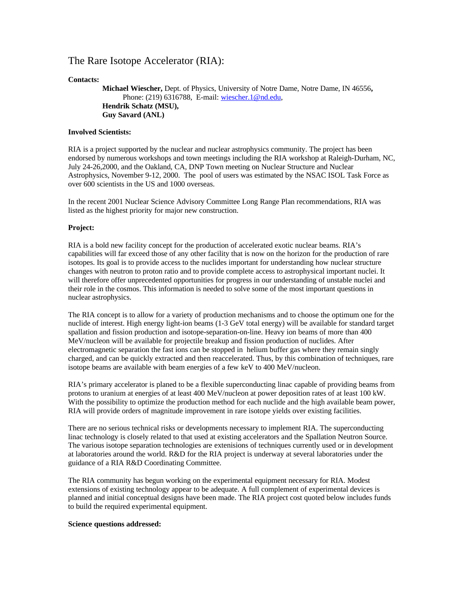# The Rare Isotope Accelerator (RIA):

# **Contacts:**

**Michael Wiescher,** Dept. of Physics, University of Notre Dame, Notre Dame, IN 46556**,** Phone: (219) 6316788, E-mail: wiescher.1@nd.edu, **Hendrik Schatz (MSU), Guy Savard (ANL)**

# **Involved Scientists:**

RIA is a project supported by the nuclear and nuclear astrophysics community. The project has been endorsed by numerous workshops and town meetings including the RIA workshop at Raleigh-Durham, NC, July 24-26,2000, and the Oakland, CA, DNP Town meeting on Nuclear Structure and Nuclear Astrophysics, November 9-12, 2000. The pool of users was estimated by the NSAC ISOL Task Force as over 600 scientists in the US and 1000 overseas.

In the recent 2001 Nuclear Science Advisory Committee Long Range Plan recommendations, RIA was listed as the highest priority for major new construction.

## **Project:**

RIA is a bold new facility concept for the production of accelerated exotic nuclear beams. RIA's capabilities will far exceed those of any other facility that is now on the horizon for the production of rare isotopes. Its goal is to provide access to the nuclides important for understanding how nuclear structure changes with neutron to proton ratio and to provide complete access to astrophysical important nuclei. It will therefore offer unprecedented opportunities for progress in our understanding of unstable nuclei and their role in the cosmos. This information is needed to solve some of the most important questions in nuclear astrophysics.

The RIA concept is to allow for a variety of production mechanisms and to choose the optimum one for the nuclide of interest. High energy light-ion beams (1-3 GeV total energy) will be available for standard target spallation and fission production and isotope-separation-on-line. Heavy ion beams of more than 400 MeV/nucleon will be available for projectile breakup and fission production of nuclides. After electromagnetic separation the fast ions can be stopped in helium buffer gas where they remain singly charged, and can be quickly extracted and then reaccelerated. Thus, by this combination of techniques, rare isotope beams are available with beam energies of a few keV to 400 MeV/nucleon.

RIA's primary accelerator is planed to be a flexible superconducting linac capable of providing beams from protons to uranium at energies of at least 400 MeV/nucleon at power deposition rates of at least 100 kW. With the possibility to optimize the production method for each nuclide and the high available beam power, RIA will provide orders of magnitude improvement in rare isotope yields over existing facilities.

There are no serious technical risks or developments necessary to implement RIA. The superconducting linac technology is closely related to that used at existing accelerators and the Spallation Neutron Source. The various isotope separation technologies are extenisions of techniques currently used or in development at laboratories around the world. R&D for the RIA project is underway at several laboratories under the guidance of a RIA R&D Coordinating Committee.

The RIA community has begun working on the experimental equipment necessary for RIA. Modest extensions of existing technology appear to be adequate. A full complement of experimental devices is planned and initial conceptual designs have been made. The RIA project cost quoted below includes funds to build the required experimental equipment.

#### **Science questions addressed:**